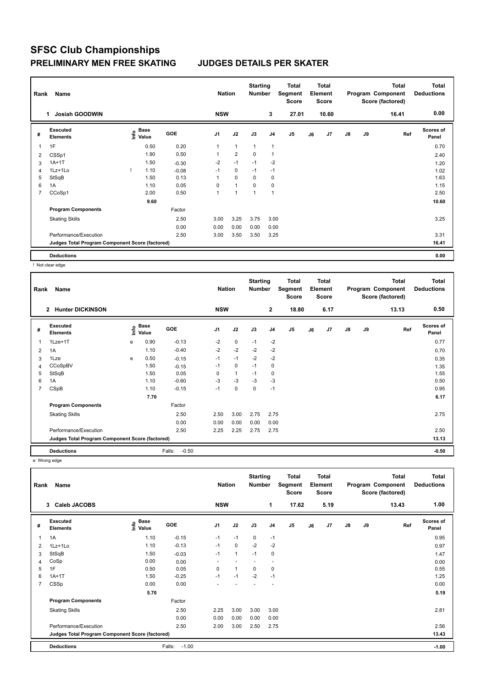## **SFSC Club Championships PRELIMINARY MEN FREE SKATING JUDGES DETAILS PER SKATER**

| Rank | Name                                            |    |                                  |            | <b>Nation</b>  |                | <b>Starting</b><br><b>Number</b> |                | Total<br>Segment<br><b>Score</b> |    | <b>Total</b><br>Element<br>Score |    |    | <b>Total</b><br>Program Component<br>Score (factored) | <b>Total</b><br><b>Deductions</b> |
|------|-------------------------------------------------|----|----------------------------------|------------|----------------|----------------|----------------------------------|----------------|----------------------------------|----|----------------------------------|----|----|-------------------------------------------------------|-----------------------------------|
|      | <b>Josiah GOODWIN</b>                           |    |                                  |            | <b>NSW</b>     |                |                                  | 3              | 27.01                            |    | 10.60                            |    |    | 16.41                                                 | 0.00                              |
| #    | Executed<br><b>Elements</b>                     |    | <b>Base</b><br>e Base<br>⊆ Value | <b>GOE</b> | J <sub>1</sub> | J2             | J3                               | J <sub>4</sub> | J5                               | J6 | J <sub>7</sub>                   | J8 | J9 | Ref                                                   | <b>Scores of</b><br>Panel         |
| 1    | 1F                                              |    | 0.50                             | 0.20       | 1              | $\mathbf{1}$   | $\overline{1}$                   | $\mathbf{1}$   |                                  |    |                                  |    |    |                                                       | 0.70                              |
| 2    | CSSp1                                           |    | 1.90                             | 0.50       | 1              | $\overline{2}$ | 0                                | $\overline{1}$ |                                  |    |                                  |    |    |                                                       | 2.40                              |
| 3    | $1A+1T$                                         |    | 1.50                             | $-0.30$    | $-2$           | $-1$           | $-1$                             | $-2$           |                                  |    |                                  |    |    |                                                       | 1.20                              |
| 4    | 1Lz+1Lo                                         | л. | 1.10                             | $-0.08$    | $-1$           | $\mathbf 0$    | $-1$                             | $-1$           |                                  |    |                                  |    |    |                                                       | 1.02                              |
| 5    | StSqB                                           |    | 1.50                             | 0.13       | 1              | 0              | 0                                | 0              |                                  |    |                                  |    |    |                                                       | 1.63                              |
| 6    | 1A                                              |    | 1.10                             | 0.05       | 0              | $\mathbf{1}$   | $\mathbf 0$                      | $\mathbf 0$    |                                  |    |                                  |    |    |                                                       | 1.15                              |
| 7    | CCoSp1                                          |    | 2.00                             | 0.50       | 1              | 1              | 1                                | $\mathbf{1}$   |                                  |    |                                  |    |    |                                                       | 2.50                              |
|      |                                                 |    | 9.60                             |            |                |                |                                  |                |                                  |    |                                  |    |    |                                                       | 10.60                             |
|      | <b>Program Components</b>                       |    |                                  | Factor     |                |                |                                  |                |                                  |    |                                  |    |    |                                                       |                                   |
|      | <b>Skating Skills</b>                           |    |                                  | 2.50       | 3.00           | 3.25           | 3.75                             | 3.00           |                                  |    |                                  |    |    |                                                       | 3.25                              |
|      |                                                 |    |                                  | 0.00       | 0.00           | 0.00           | 0.00                             | 0.00           |                                  |    |                                  |    |    |                                                       |                                   |
|      | Performance/Execution                           |    |                                  | 2.50       | 3.00           | 3.50           | 3.50                             | 3.25           |                                  |    |                                  |    |    |                                                       | 3.31                              |
|      | Judges Total Program Component Score (factored) |    |                                  |            |                |                |                                  |                |                                  |    |                                  |    |    |                                                       | 16.41                             |
|      | <b>Deductions</b>                               |    |                                  |            |                |                |                                  |                |                                  |    |                                  |    |    |                                                       | 0.00                              |

! Not clear edge

| Name<br>Rank |                                                 |   |                       |                   | <b>Nation</b>  |              | <b>Starting</b><br><b>Number</b> |                | <b>Total</b><br>Segment<br><b>Score</b> | <b>Total</b><br>Element<br><b>Score</b> |      |               |    | <b>Total</b><br>Program Component<br>Score (factored) | <b>Total</b><br><b>Deductions</b> |
|--------------|-------------------------------------------------|---|-----------------------|-------------------|----------------|--------------|----------------------------------|----------------|-----------------------------------------|-----------------------------------------|------|---------------|----|-------------------------------------------------------|-----------------------------------|
|              | <b>Hunter DICKINSON</b><br>$\overline{2}$       |   |                       |                   | <b>NSW</b>     |              |                                  | $\mathbf{2}$   | 18.80                                   |                                         | 6.17 |               |    | 13.13                                                 | 0.50                              |
| #            | <b>Executed</b><br><b>Elements</b>              |   | $\sum_{i=1}^{n}$ Pase | <b>GOE</b>        | J <sub>1</sub> | J2           | J3                               | J <sub>4</sub> | J <sub>5</sub>                          | J6                                      | J7   | $\mathsf{J}8$ | J9 | Ref                                                   | <b>Scores of</b><br>Panel         |
| 1            | $1$ Lze $+1$ T                                  | e | 0.90                  | $-0.13$           | $-2$           | 0            | $-1$                             | $-2$           |                                         |                                         |      |               |    |                                                       | 0.77                              |
| 2            | 1A                                              |   | 1.10                  | $-0.40$           | $-2$           | $-2$         | $-2$                             | $-2$           |                                         |                                         |      |               |    |                                                       | 0.70                              |
| 3            | 1Lze                                            | e | 0.50                  | $-0.15$           | $-1$           | $-1$         | $-2$                             | $-2$           |                                         |                                         |      |               |    |                                                       | 0.35                              |
| 4            | CCoSpBV                                         |   | 1.50                  | $-0.15$           | $-1$           | $\mathbf 0$  | $-1$                             | 0              |                                         |                                         |      |               |    |                                                       | 1.35                              |
| 5            | StSqB                                           |   | 1.50                  | 0.05              | $\Omega$       | $\mathbf{1}$ | $-1$                             | 0              |                                         |                                         |      |               |    |                                                       | 1.55                              |
| 6            | 1A                                              |   | 1.10                  | $-0.60$           | $-3$           | $-3$         | $-3$                             | $-3$           |                                         |                                         |      |               |    |                                                       | 0.50                              |
| 7            | CSpB                                            |   | 1.10                  | $-0.15$           | $-1$           | $\mathbf 0$  | $\mathbf 0$                      | $-1$           |                                         |                                         |      |               |    |                                                       | 0.95                              |
|              |                                                 |   | 7.70                  |                   |                |              |                                  |                |                                         |                                         |      |               |    |                                                       | 6.17                              |
|              | <b>Program Components</b>                       |   |                       | Factor            |                |              |                                  |                |                                         |                                         |      |               |    |                                                       |                                   |
|              | <b>Skating Skills</b>                           |   |                       | 2.50              | 2.50           | 3.00         | 2.75                             | 2.75           |                                         |                                         |      |               |    |                                                       | 2.75                              |
|              |                                                 |   |                       | 0.00              | 0.00           | 0.00         | 0.00                             | 0.00           |                                         |                                         |      |               |    |                                                       |                                   |
|              | Performance/Execution                           |   |                       | 2.50              | 2.25           | 2.25         | 2.75                             | 2.75           |                                         |                                         |      |               |    |                                                       | 2.50                              |
|              | Judges Total Program Component Score (factored) |   |                       |                   |                |              |                                  |                |                                         |                                         |      | 13.13         |    |                                                       |                                   |
|              | <b>Deductions</b>                               |   |                       | $-0.50$<br>Falls: |                |              |                                  |                |                                         |                                         |      |               |    |                                                       | $-0.50$                           |

e Wrong edge

| Rank           | Name                                            |                                       |                   | <b>Nation</b>            |              | <b>Starting</b><br><b>Number</b> |                          | Total<br>Segment<br><b>Score</b> |    | <b>Total</b><br>Element<br><b>Score</b> |    |    | <b>Total</b><br>Program Component<br>Score (factored) | <b>Total</b><br><b>Deductions</b> |
|----------------|-------------------------------------------------|---------------------------------------|-------------------|--------------------------|--------------|----------------------------------|--------------------------|----------------------------------|----|-----------------------------------------|----|----|-------------------------------------------------------|-----------------------------------|
|                | 3 Caleb JACOBS                                  |                                       |                   | <b>NSW</b>               |              |                                  | 1                        | 17.62                            |    | 5.19                                    |    |    | 13.43                                                 | 1.00                              |
| #              | Executed<br><b>Elements</b>                     | <b>Base</b><br>$\frac{6}{2}$<br>Value | <b>GOE</b>        | J <sub>1</sub>           | J2           | J3                               | J <sub>4</sub>           | J5                               | J6 | J7                                      | J8 | J9 | Ref                                                   | <b>Scores of</b><br>Panel         |
| 1              | 1A                                              | 1.10                                  | $-0.15$           | $-1$                     | $-1$         | 0                                | $-1$                     |                                  |    |                                         |    |    |                                                       | 0.95                              |
| 2              | 1Lz+1Lo                                         | 1.10                                  | $-0.13$           | $-1$                     | $\mathbf 0$  | $-2$                             | $-2$                     |                                  |    |                                         |    |    |                                                       | 0.97                              |
| 3              | StSqB                                           | 1.50                                  | $-0.03$           | $-1$                     | $\mathbf{1}$ | $-1$                             | 0                        |                                  |    |                                         |    |    |                                                       | 1.47                              |
| 4              | CoSp                                            | 0.00                                  | 0.00              | $\overline{\phantom{a}}$ | ٠            | $\overline{\phantom{a}}$         | $\overline{\phantom{a}}$ |                                  |    |                                         |    |    |                                                       | 0.00                              |
| 5              | 1F                                              | 0.50                                  | 0.05              | 0                        | $\mathbf{1}$ | 0                                | 0                        |                                  |    |                                         |    |    |                                                       | 0.55                              |
| 6              | $1A+1T$                                         | 1.50                                  | $-0.25$           | $-1$                     | $-1$         | $-2$                             | $-1$                     |                                  |    |                                         |    |    |                                                       | 1.25                              |
| $\overline{7}$ | CSSp                                            | 0.00                                  | 0.00              | ٠                        |              |                                  | ٠                        |                                  |    |                                         |    |    |                                                       | 0.00                              |
|                |                                                 | 5.70                                  |                   |                          |              |                                  |                          |                                  |    |                                         |    |    |                                                       | 5.19                              |
|                | <b>Program Components</b>                       |                                       | Factor            |                          |              |                                  |                          |                                  |    |                                         |    |    |                                                       |                                   |
|                | <b>Skating Skills</b>                           |                                       | 2.50              | 2.25                     | 3.00         | 3.00                             | 3.00                     |                                  |    |                                         |    |    |                                                       | 2.81                              |
|                |                                                 |                                       | 0.00              | 0.00                     | 0.00         | 0.00                             | 0.00                     |                                  |    |                                         |    |    |                                                       |                                   |
|                | Performance/Execution                           |                                       | 2.50              | 2.00                     | 3.00         | 2.50                             | 2.75                     |                                  |    |                                         |    |    |                                                       | 2.56                              |
|                | Judges Total Program Component Score (factored) |                                       |                   |                          |              |                                  |                          |                                  |    |                                         |    |    |                                                       | 13.43                             |
|                | <b>Deductions</b>                               |                                       | $-1.00$<br>Falls: |                          |              |                                  |                          |                                  |    |                                         |    |    |                                                       | $-1.00$                           |